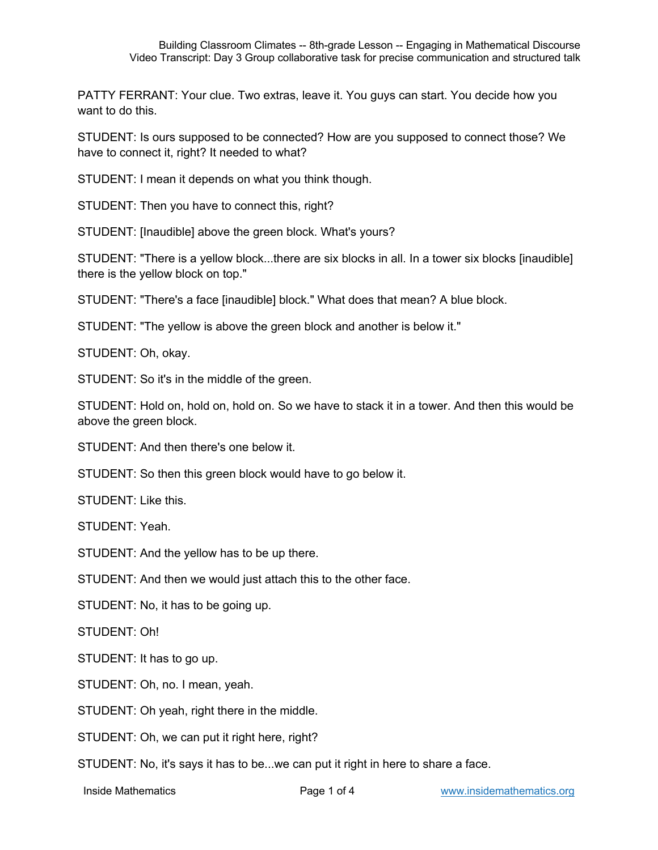PATTY FERRANT: Your clue. Two extras, leave it. You guys can start. You decide how you want to do this.

STUDENT: Is ours supposed to be connected? How are you supposed to connect those? We have to connect it, right? It needed to what?

STUDENT: I mean it depends on what you think though.

STUDENT: Then you have to connect this, right?

STUDENT: [Inaudible] above the green block. What's yours?

STUDENT: "There is a yellow block...there are six blocks in all. In a tower six blocks [inaudible] there is the yellow block on top."

STUDENT: "There's a face [inaudible] block." What does that mean? A blue block.

STUDENT: "The yellow is above the green block and another is below it."

STUDENT: Oh, okay.

STUDENT: So it's in the middle of the green.

STUDENT: Hold on, hold on, hold on. So we have to stack it in a tower. And then this would be above the green block.

STUDENT: And then there's one below it.

STUDENT: So then this green block would have to go below it.

STUDENT: Like this.

STUDENT: Yeah.

STUDENT: And the yellow has to be up there.

STUDENT: And then we would just attach this to the other face.

STUDENT: No, it has to be going up.

STUDENT: Oh!

STUDENT: It has to go up.

STUDENT: Oh, no. I mean, yeah.

STUDENT: Oh yeah, right there in the middle.

STUDENT: Oh, we can put it right here, right?

STUDENT: No, it's says it has to be...we can put it right in here to share a face.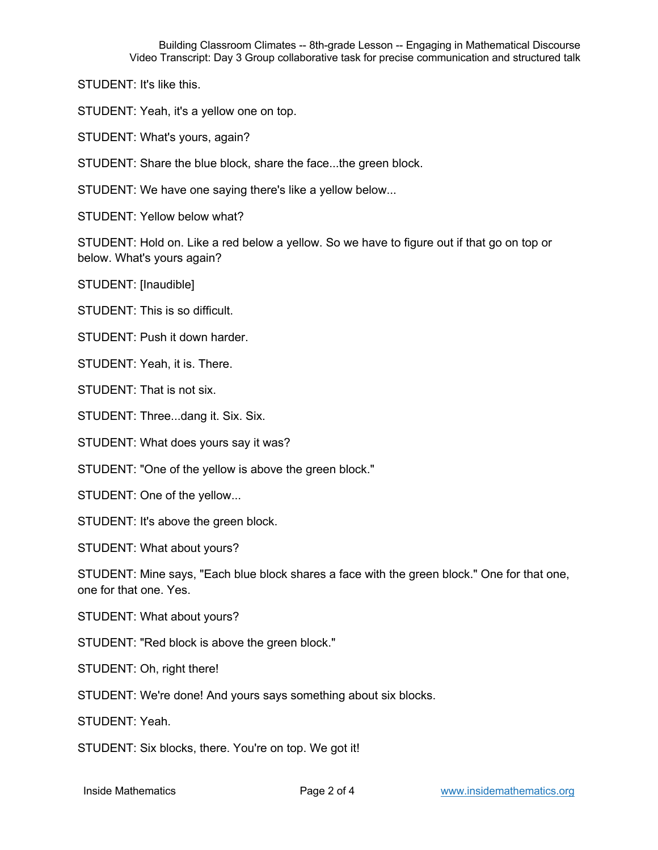STUDENT: It's like this.

STUDENT: Yeah, it's a yellow one on top.

STUDENT: What's yours, again?

STUDENT: Share the blue block, share the face...the green block.

STUDENT: We have one saying there's like a yellow below...

STUDENT: Yellow below what?

STUDENT: Hold on. Like a red below a yellow. So we have to figure out if that go on top or below. What's yours again?

STUDENT: [Inaudible]

STUDENT: This is so difficult.

STUDENT: Push it down harder.

STUDENT: Yeah, it is. There.

STUDENT: That is not six.

STUDENT: Three...dang it. Six. Six.

STUDENT: What does yours say it was?

STUDENT: "One of the yellow is above the green block."

STUDENT: One of the yellow...

STUDENT: It's above the green block.

STUDENT: What about yours?

STUDENT: Mine says, "Each blue block shares a face with the green block." One for that one, one for that one. Yes.

STUDENT: What about yours?

STUDENT: "Red block is above the green block."

STUDENT: Oh, right there!

STUDENT: We're done! And yours says something about six blocks.

STUDENT: Yeah.

STUDENT: Six blocks, there. You're on top. We got it!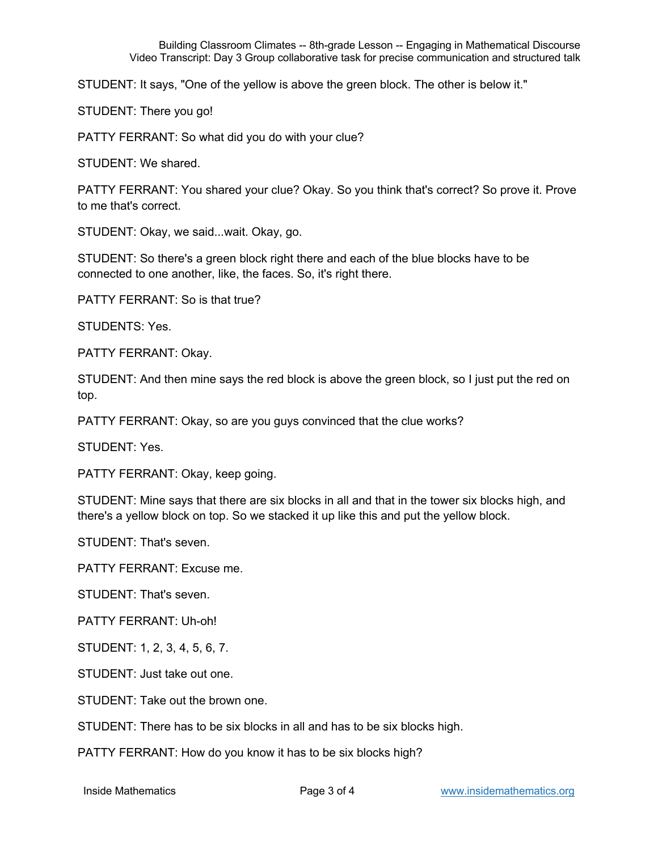Building Classroom Climates -- 8th-grade Lesson -- Engaging in Mathematical Discourse Video Transcript: Day 3 Group collaborative task for precise communication and structured talk

STUDENT: It says, "One of the yellow is above the green block. The other is below it."

STUDENT: There you go!

PATTY FERRANT: So what did you do with your clue?

STUDENT: We shared.

PATTY FERRANT: You shared your clue? Okay. So you think that's correct? So prove it. Prove to me that's correct.

STUDENT: Okay, we said...wait. Okay, go.

STUDENT: So there's a green block right there and each of the blue blocks have to be connected to one another, like, the faces. So, it's right there.

PATTY FERRANT: So is that true?

STUDENTS: Yes.

PATTY FERRANT: Okay.

STUDENT: And then mine says the red block is above the green block, so I just put the red on top.

PATTY FERRANT: Okay, so are you guys convinced that the clue works?

STUDENT: Yes.

PATTY FERRANT: Okay, keep going.

STUDENT: Mine says that there are six blocks in all and that in the tower six blocks high, and there's a yellow block on top. So we stacked it up like this and put the yellow block.

STUDENT: That's seven.

PATTY FERRANT: Excuse me.

STUDENT: That's seven.

PATTY FERRANT: Uh-oh!

STUDENT: 1, 2, 3, 4, 5, 6, 7.

STUDENT: Just take out one.

STUDENT: Take out the brown one.

STUDENT: There has to be six blocks in all and has to be six blocks high.

PATTY FERRANT: How do you know it has to be six blocks high?